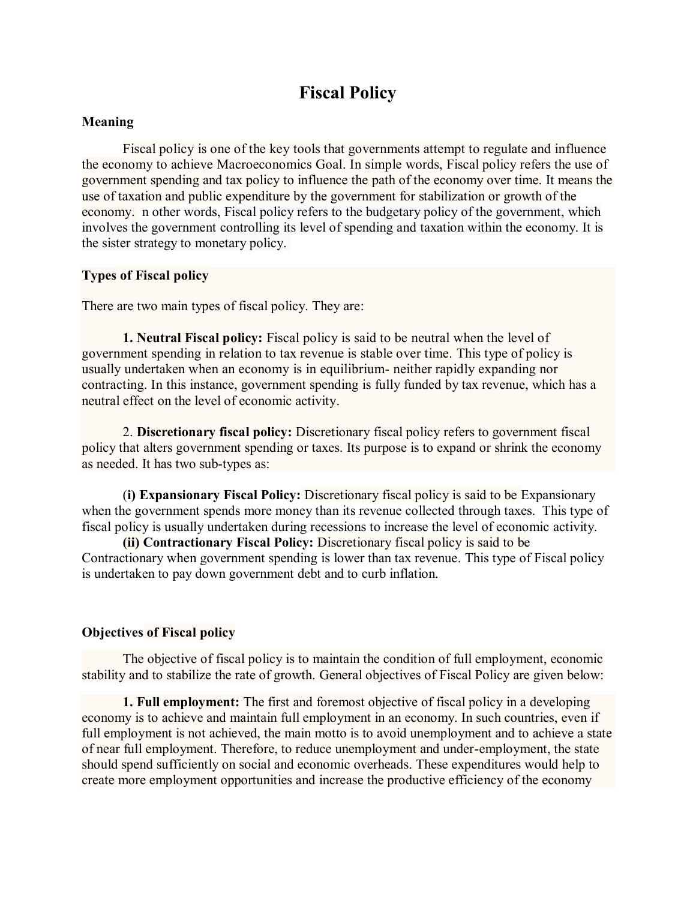# **Fiscal Policy**

#### **Meaning**

Fiscal policy is one of the key tools that governments attempt to regulate and influence the economy to achieve Macroeconomics Goal. In simple words, Fiscal policy refers the use of government spending and tax policy to influence the path of the economy over time. It means the use of taxation and public expenditure by the government for stabilization or growth of the economy. n other words, Fiscal policy refers to the budgetary policy of the government, which involves the government controlling its level of spending and taxation within the economy. It is the sister strategy to [monetary policy.](https://corporatefinanceinstitute.com/resources/knowledge/economics/monetary-policy/)

#### **Types of Fiscal policy**

There are two main types of fiscal policy. They are:

**1. Neutral Fiscal policy:** Fiscal policy is said to be neutral when the level of government spending in relation to tax revenue is stable over time. This type of policy is usually undertaken when an economy is in equilibrium- neither rapidly expanding nor contracting. In this instance, government spending is fully funded by tax revenue, which has a neutral effect on the level of economic activity.

2. **Discretionary fiscal policy:** Discretionary fiscal policy refers to government fiscal policy that alters government spending or taxes. Its purpose is to expand or shrink the economy as needed. It has two sub-types as:

(**i) Expansionary Fiscal Policy:** Discretionary fiscal policy is said to be Expansionary when the government spends more money than its revenue collected through taxes. This type of fiscal policy is usually undertaken during recessions to increase the level of economic activity.

**(ii) Contractionary Fiscal Policy:** Discretionary fiscal policy is said to be Contractionary when government spending is lower than tax revenue. This type of Fiscal policy is undertaken to pay down government debt and to curb inflation.

#### **Objectives of Fiscal policy**

The objective of fiscal policy is to maintain the condition of full employment, economic stability and to stabilize the rate of growth. General objectives of Fiscal Policy are given below:

**1. Full employment:** The first and foremost objective of fiscal policy in a developing economy is to achieve and maintain full employment in an economy. In such countries, even if full employment is not achieved, the main motto is to avoid unemployment and to achieve a state of near full employment. Therefore, to reduce unemployment and under-employment, the state should spend sufficiently on social and economic overheads. These expenditures would help to create more employment opportunities and increase the productive efficiency of the economy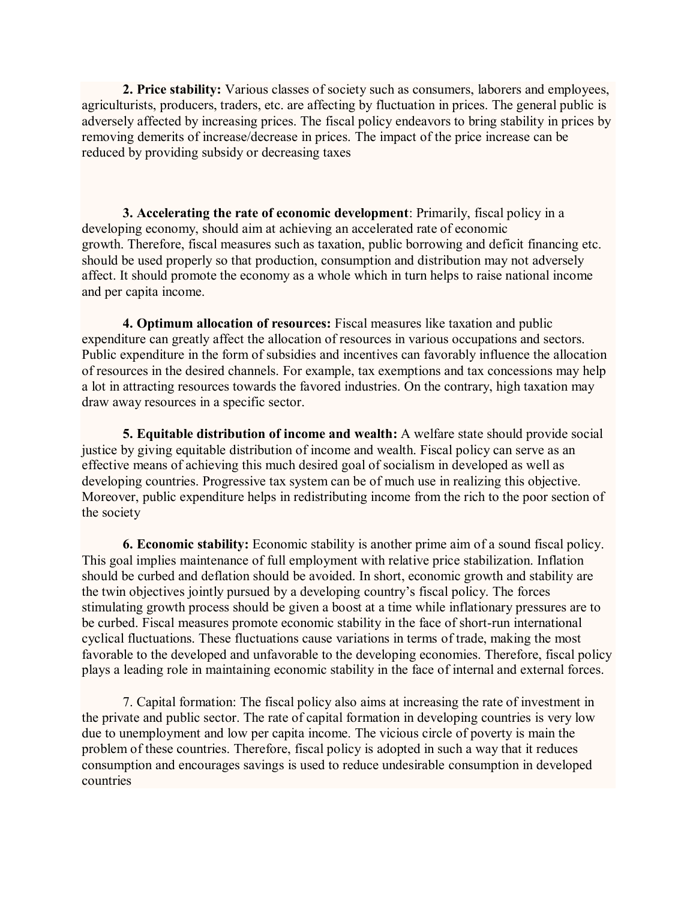**2. Price stability:** Various classes of society such as consumers, laborers and employees, agriculturists, producers, traders, etc. are affecting by fluctuation in prices. The general public is adversely affected by increasing prices. The fiscal policy endeavors to bring stability in prices by removing demerits of increase/decrease in prices. The impact of the price increase can be reduced by providing subsidy or decreasing taxes

**3. Accelerating the rate of economic development**: Primarily, fiscal policy in a developing economy, should aim at achieving an accelerated rate of economic growth. Therefore, fiscal measures such as taxation, public borrowing and deficit financing etc. should be used properly so that production, consumption and distribution may not adversely affect. It should promote the economy as a whole which in turn helps to raise national income and per capita income.

**4. Optimum allocation of resources:** Fiscal measures like taxation and public expenditure can greatly affect the allocation of resources in various occupations and sectors. Public expenditure in the form of subsidies and incentives can favorably influence the allocation of resources in the desired channels. For example, tax exemptions and tax concessions may help a lot in attracting resources towards the favored industries. On the contrary, high taxation may draw away resources in a specific sector.

**5. Equitable distribution of income and wealth:** A welfare state should provide social justice by giving equitable distribution of income and wealth. Fiscal policy can serve as an effective means of achieving this much desired goal of socialism in developed as well as developing countries. Progressive tax system can be of much use in realizing this objective. Moreover, public expenditure helps in redistributing income from the rich to the poor section of the society

**6. Economic stability:** Economic stability is another prime aim of a sound fiscal policy. This goal implies maintenance of full employment with relative price stabilization. Inflation should be curbed and deflation should be avoided. In short, economic growth and stability are the twin objectives jointly pursued by a developing country's fiscal policy. The forces stimulating growth process should be given a boost at a time while inflationary pressures are to be curbed. Fiscal measures promote economic stability in the face of short-run international cyclical fluctuations. These fluctuations cause variations in terms of trade, making the most favorable to the developed and unfavorable to the developing economies. Therefore, fiscal policy plays a leading role in maintaining economic stability in the face of internal and external forces.

7. Capital formation: The fiscal policy also aims at increasing the rate of investment in the private and [public sector.](http://googlesir.com/major-problems-of-public-sector/) The rate of capital formation in developing countries is very low due to unemployment and low per capita income. The vicious circle of poverty is main the problem of these countries. Therefore, fiscal policy is adopted in such a way that it reduces consumption and encourages savings is used to reduce undesirable consumption in developed countries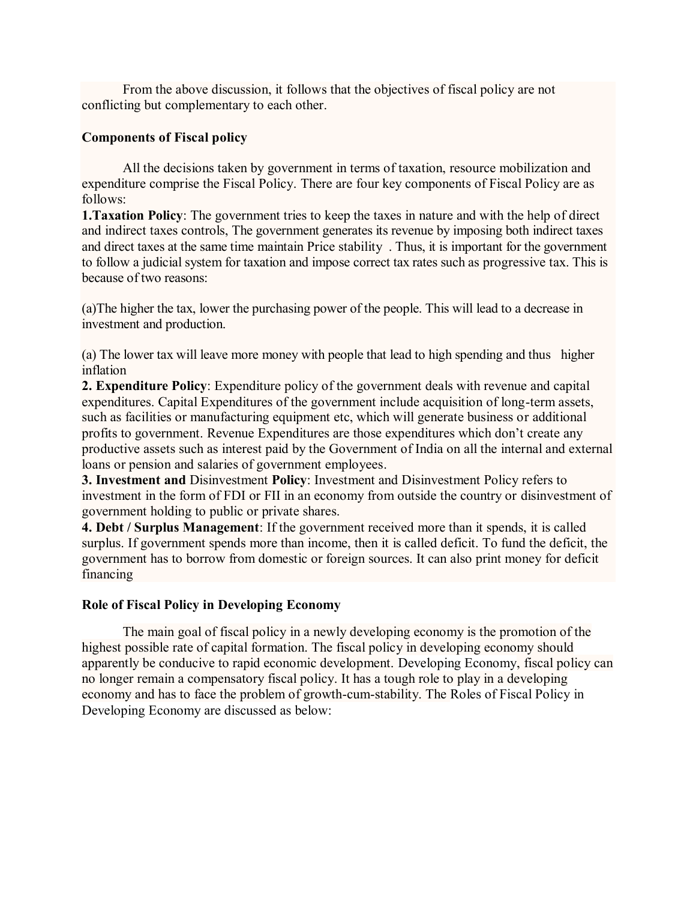From the above discussion, it follows that the objectives of fiscal policy are not conflicting but complementary to each other.

## **Components of Fiscal policy**

All the decisions taken by government in terms of taxation, resource mobilization and expenditure comprise the Fiscal Policy. There are four key components of Fiscal Policy are as follows:

**1.Taxation Policy**: The government tries to keep the taxes in nature and with the help of direct and indirect taxes controls, The government generates its revenue by imposing both indirect taxes and direct taxes at the same time maintain Price stability . Thus, it is important for the government to follow a judicial system for taxation and impose correct tax rates such as progressive tax. This is because of two reasons:

(a)The higher the tax, lower the purchasing power of the people. This will lead to a decrease in investment and production.

(a) The lower tax will leave more money with people that lead to high spending and thus higher inflation

**2. Expenditure Policy**: Expenditure policy of the government deals with revenue and capital expenditures. Capital Expenditures of the government include acquisition of long-term assets, such as facilities or manufacturing equipment etc, which will generate business or additional profits to government. Revenue Expenditures are those expenditures which don't create any productive assets such as interest paid by the Government of India on all the internal and external loans or pension and salaries of government employees.

**3. Investment and** [Disinvestment](https://www.gktoday.in/topic/disinvestment/) **Policy**: Investment and [Disinvestment](https://www.gktoday.in/topic/disinvestment/) Policy refers to investment in the form of FDI or FII in an economy from outside the country or [disinvestment](https://www.gktoday.in/topic/disinvestment/) of government holding to public or private shares.

**4. Debt / Surplus Management**: If the government received more than it spends, it is called surplus. If government spends more than income, then it is called deficit. To fund the deficit, the government has to borrow from domestic or foreign sources. It can also print money for deficit financing

## **Role of Fiscal Policy in Developing Economy**

The main goal of fiscal policy in a newly developing economy is the promotion of the highest possible rate of capital formation. The fiscal policy in developing economy should apparently be conducive to rapid economic development. Developing Economy, fiscal policy can no longer remain a compensatory fiscal policy. It has a tough role to play in a developing economy and has to face the problem of growth-cum-stability. The Roles of Fiscal Policy in Developing Economy are discussed as below: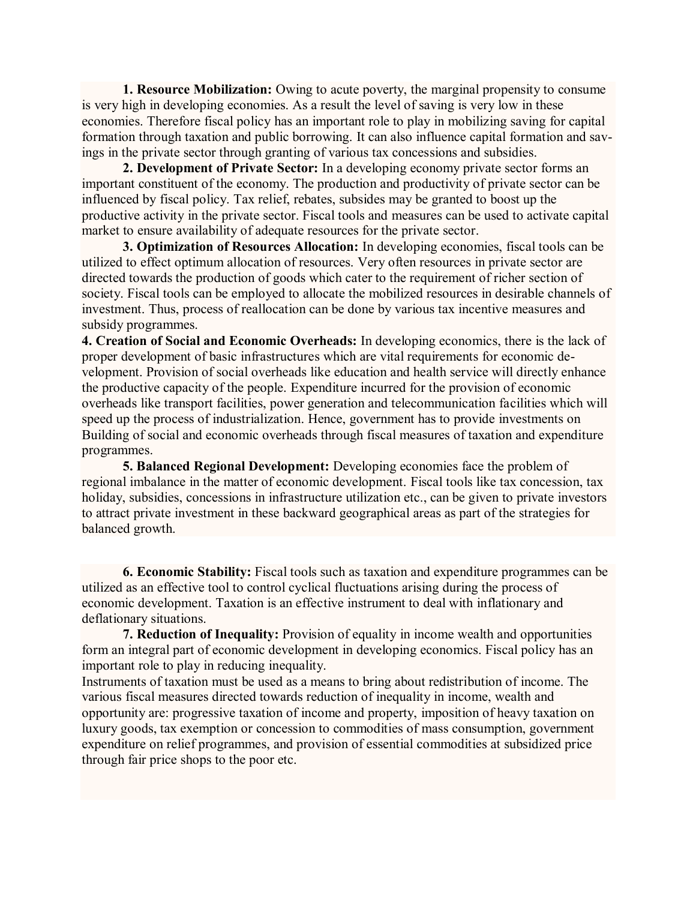**1. Resource Mobilization:** Owing to acute poverty, the marginal propensity to consume is very high in developing economies. As a result the level of saving is very low in these economies. Therefore fiscal policy has an important role to play in mobilizing saving for capital formation through taxation and public borrowing. It can also influence capital formation and savings in the private sector through granting of various tax concessions and subsidies.

**2. Development of Private Sector:** In a developing economy private sector forms an important constituent of the economy. The production and productivity of private sector can be influenced by fiscal policy. Tax relief, rebates, subsides may be granted to boost up the productive activity in the private sector. Fiscal tools and measures can be used to activate capital market to ensure availability of adequate resources for the private sector.

**3. Optimization of Resources Allocation:** In developing economies, fiscal tools can be utilized to effect optimum allocation of resources. Very often resources in private sector are directed towards the production of goods which cater to the requirement of richer section of society. Fiscal tools can be employed to allocate the mobilized resources in desirable channels of investment. Thus, process of reallocation can be done by various tax incentive measures and subsidy programmes.

**4. Creation of Social and Economic Overheads:** In developing economics, there is the lack of proper development of basic infrastructures which are vital requirements for economic development. Provision of social overheads like education and health service will directly enhance the productive capacity of the people. Expenditure incurred for the provision of economic overheads like transport facilities, power generation and telecommunication facilities which will speed up the process of industrialization. Hence, government has to provide investments on Building of social and economic overheads through fiscal measures of taxation and expenditure programmes.

**5. Balanced Regional Development:** Developing economies face the problem of regional imbalance in the matter of economic development. Fiscal tools like tax concession, tax holiday, subsidies, concessions in infrastructure utilization etc., can be given to private investors to attract private investment in these backward geographical areas as part of the strategies for balanced growth.

**6. Economic Stability:** Fiscal tools such as taxation and expenditure programmes can be utilized as an effective tool to control cyclical fluctuations arising during the process of economic development. Taxation is an effective instrument to deal with inflationary and deflationary situations.

**7. Reduction of Inequality:** Provision of equality in income wealth and opportunities form an integral part of economic development in developing economics. Fiscal policy has an important role to play in reducing inequality.

Instruments of taxation must be used as a means to bring about redistribution of income. The various fiscal measures directed towards reduction of inequality in income, wealth and opportunity are: progressive taxation of income and property, imposition of heavy taxation on luxury goods, tax exemption or concession to commodities of mass consumption, government expenditure on relief programmes, and provision of essential commodities at subsidized price through fair price shops to the poor etc.